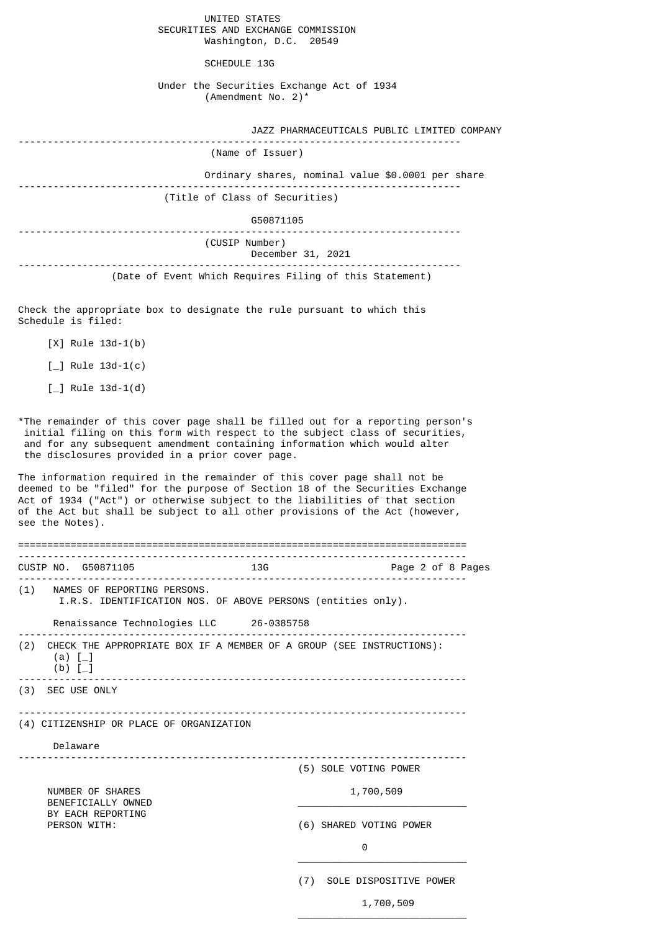|                                    | UNITED STATES          |  |
|------------------------------------|------------------------|--|
| SECURITIES AND EXCHANGE COMMISSION |                        |  |
|                                    | Washington, D.C. 20549 |  |

SCHEDULE 13G

|  | Under the Securities Exchange Act of 1934 |  |  |  |
|--|-------------------------------------------|--|--|--|
|  | (Amendment No. 2) $^*$                    |  |  |  |

| JAZZ PHARMACEUTICALS PUBLIC LIMITED COMPANY             |
|---------------------------------------------------------|
| (Name of Issuer)                                        |
| Ordinary shares, nominal value \$0.0001 per share       |
| (Title of Class of Securities)                          |
| G50871105                                               |
| (CUSIP Number)<br>December 31, 2021                     |
| (Date of Event Which Requires Filing of this Statement) |

Check the appropriate box to designate the rule pursuant to which this Schedule is filed:

- [X] Rule 13d-1(b)
- $[-]$  Rule 13d-1(c)
- $[-]$  Rule 13d-1(d)

\*The remainder of this cover page shall be filled out for a reporting person's initial filing on this form with respect to the subject class of securities, and for any subsequent amendment containing information which would alter the disclosures provided in a prior cover page.

The information required in the remainder of this cover page shall not be deemed to be "filed" for the purpose of Section 18 of the Securities Exchange Act of 1934 ("Act") or otherwise subject to the liabilities of that section of the Act but shall be subject to all other provisions of the Act (however, see the Notes).

|  | CUSIP NO. G50871105                                                         | <b>13G</b>                                                               | Page 2 of 8 Pages       |
|--|-----------------------------------------------------------------------------|--------------------------------------------------------------------------|-------------------------|
|  | (1) NAMES OF REPORTING PERSONS.                                             | I.R.S. IDENTIFICATION NOS. OF ABOVE PERSONS (entities only).             |                         |
|  |                                                                             | Renaissance Technologies LLC 26-0385758                                  |                         |
|  | $(a)$ $\lceil$<br>(b) $[-]$                                                 | (2) CHECK THE APPROPRIATE BOX IF A MEMBER OF A GROUP (SEE INSTRUCTIONS): |                         |
|  | (3) SEC USE ONLY                                                            |                                                                          |                         |
|  | (4) CITIZENSHIP OR PLACE OF ORGANIZATION                                    |                                                                          |                         |
|  | Delaware                                                                    |                                                                          |                         |
|  |                                                                             |                                                                          | (5) SOLE VOTING POWER   |
|  | NUMBER OF SHARES<br>BENEFICIALLY OWNED<br>BY EACH REPORTING<br>PERSON WITH: |                                                                          | 1,700,509               |
|  |                                                                             |                                                                          | (6) SHARED VOTING POWER |
|  |                                                                             |                                                                          | 0                       |
|  |                                                                             | (7)                                                                      | SOLE DISPOSITIVE POWER  |

 $\overline{\phantom{a}}$  , and the state of the state of the state of the state of the state of the state of the state of the state of the state of the state of the state of the state of the state of the state of the state of the stat

1,700,509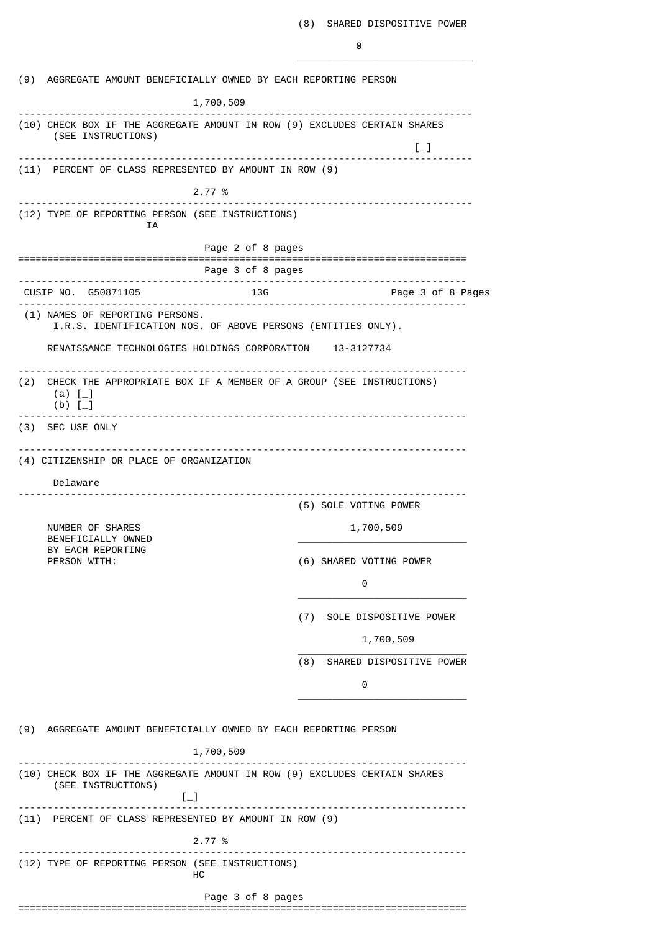|     | (9) AGGREGATE AMOUNT BENEFICIALLY OWNED BY EACH REPORTING PERSON                                         |                                        |                                                         |
|-----|----------------------------------------------------------------------------------------------------------|----------------------------------------|---------------------------------------------------------|
|     |                                                                                                          | 1,700,509                              |                                                         |
|     | .<br>(10) CHECK BOX IF THE AGGREGATE AMOUNT IN ROW (9) EXCLUDES CERTAIN SHARES<br>(SEE INSTRUCTIONS)     |                                        | $\left[\begin{smallmatrix}1\\1\end{smallmatrix}\right]$ |
|     | (11) PERCENT OF CLASS REPRESENTED BY AMOUNT IN ROW (9)                                                   |                                        |                                                         |
|     |                                                                                                          | 2.77 %                                 |                                                         |
|     | (12) TYPE OF REPORTING PERSON (SEE INSTRUCTIONS)                                                         |                                        | .                                                       |
|     | ΙA                                                                                                       |                                        |                                                         |
|     |                                                                                                          | Page 2 of 8 pages<br>Page 3 of 8 pages |                                                         |
|     | CUSIP NO. G50871105                                                                                      | 13G                                    | -------------------------<br>Page 3 of 8 Pages          |
|     | (1) NAMES OF REPORTING PERSONS.<br>I.R.S. IDENTIFICATION NOS. OF ABOVE PERSONS (ENTITIES ONLY).          |                                        |                                                         |
|     | RENAISSANCE TECHNOLOGIES HOLDINGS CORPORATION 13-3127734                                                 |                                        |                                                         |
| (2) | CHECK THE APPROPRIATE BOX IF A MEMBER OF A GROUP (SEE INSTRUCTIONS)<br>(a) $[-]$<br>$(b)$ [              |                                        |                                                         |
|     | (3) SEC USE ONLY                                                                                         |                                        |                                                         |
|     | Delaware<br>NUMBER OF SHARES                                                                             |                                        | (5) SOLE VOTING POWER<br>1,700,509                      |
|     | BENEFICIALLY OWNED<br>BY EACH REPORTING<br>PERSON WITH:                                                  |                                        | (6) SHARED VOTING POWER                                 |
|     |                                                                                                          |                                        | 0                                                       |
|     |                                                                                                          |                                        | (7) SOLE DISPOSITIVE POWER                              |
|     |                                                                                                          |                                        | 1,700,509                                               |
|     |                                                                                                          | (8)                                    | SHARED DISPOSITIVE POWER                                |
|     |                                                                                                          |                                        | 0                                                       |
|     | (9) AGGREGATE AMOUNT BENEFICIALLY OWNED BY EACH REPORTING PERSON                                         |                                        |                                                         |
|     |                                                                                                          | 1,700,509                              |                                                         |
|     | (10) CHECK BOX IF THE AGGREGATE AMOUNT IN ROW (9) EXCLUDES CERTAIN SHARES<br>(SEE INSTRUCTIONS)<br>$[-]$ |                                        |                                                         |
|     | ---------------------<br>(11) PERCENT OF CLASS REPRESENTED BY AMOUNT IN ROW (9)                          |                                        |                                                         |
|     |                                                                                                          | 2.77 %                                 |                                                         |
|     | (12) TYPE OF REPORTING PERSON (SEE INSTRUCTIONS)                                                         | HС                                     |                                                         |
|     |                                                                                                          | Page 3 of 8 pages                      |                                                         |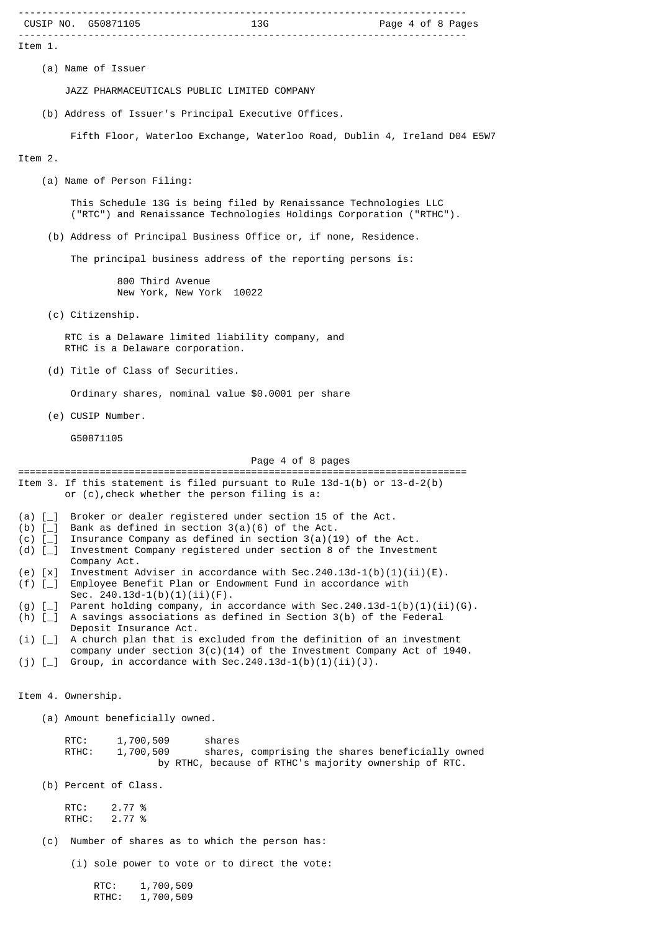| CUSIP NO. G50871105<br>Page 4 of 8 Pages                                                                                                                              |
|-----------------------------------------------------------------------------------------------------------------------------------------------------------------------|
| Item 1.                                                                                                                                                               |
| (a) Name of Issuer                                                                                                                                                    |
| JAZZ PHARMACEUTICALS PUBLIC LIMITED COMPANY                                                                                                                           |
| (b) Address of Issuer's Principal Executive Offices.                                                                                                                  |
| Fifth Floor, Waterloo Exchange, Waterloo Road, Dublin 4, Ireland D04 E5W7                                                                                             |
| Item 2.                                                                                                                                                               |
| (a) Name of Person Filing:                                                                                                                                            |
| This Schedule 13G is being filed by Renaissance Technologies LLC<br>("RTC") and Renaissance Technologies Holdings Corporation ("RTHC").                               |
| (b) Address of Principal Business Office or, if none, Residence.                                                                                                      |
| The principal business address of the reporting persons is:                                                                                                           |
| 800 Third Avenue<br>New York, New York 10022                                                                                                                          |
| (c) Citizenship.                                                                                                                                                      |
| RTC is a Delaware limited liability company, and<br>RTHC is a Delaware corporation.                                                                                   |
| (d) Title of Class of Securities.                                                                                                                                     |
| Ordinary shares, nominal value \$0.0001 per share                                                                                                                     |
| (e) CUSIP Number.                                                                                                                                                     |
| G50871105                                                                                                                                                             |
| Page 4 of 8 pages                                                                                                                                                     |
| Item 3. If this statement is filed pursuant to Rule $13d-1(b)$ or $13-d-2(b)$<br>or (c), check whether the person filing is a:                                        |
| Broker or dealer registered under section 15 of the Act.<br>(a) $[-]$<br>Bank as defined in section $3(a)(6)$ of the Act.<br>(b) $[-]$                                |
| Insurance Company as defined in section $3(a)(19)$ of the Act.<br>$(c)$ [<br>Investment Company registered under section 8 of the Investment<br>(d) $[-]$             |
| Company Act.<br>Investment Adviser in accordance with Sec.240.13d-1(b)(1)(ii)(E).<br>$(e)$ $[x]$                                                                      |
| Employee Benefit Plan or Endowment Fund in accordance with<br>$(f)$ [_]<br>Sec. $240.13d-1(b)(1)(ii)(F)$ .                                                            |
| Parent holding company, in accordance with Sec. 240.13d-1(b)(1)(ii)(G).<br>$(g)$ [_]<br>A savings associations as defined in Section 3(b) of the Federal<br>(h) $[-]$ |
| Deposit Insurance Act.<br>A church plan that is excluded from the definition of an investment<br>$(i)$ [                                                              |
| company under section $3(c)(14)$ of the Investment Company Act of 1940.<br>Group, in accordance with Sec.240.13d-1(b)(1)(ii)(J).<br>$(j)$ [_]                         |
| Item 4. Ownership.                                                                                                                                                    |
| (a) Amount beneficially owned.                                                                                                                                        |
| RTC:<br>1,700,509<br>shares<br>RTHC:<br>1,700,509<br>shares, comprising the shares beneficially owned<br>by RTHC, because of RTHC's majority ownership of RTC.        |
| (b) Percent of Class.                                                                                                                                                 |
| RTC:<br>2.77 %<br>2.77 %<br>RTHC:                                                                                                                                     |
| (c)<br>Number of shares as to which the person has:                                                                                                                   |
| (i) sole power to vote or to direct the vote:                                                                                                                         |
| RTC:<br>1,700,509<br>RTHC:<br>1,700,509                                                                                                                               |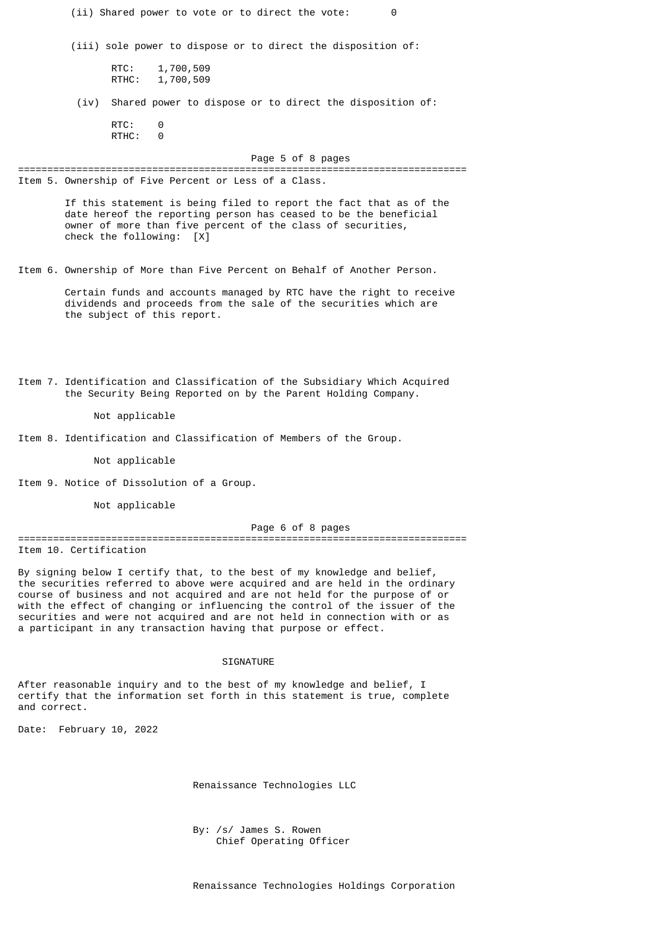(ii) Shared power to vote or to direct the vote: 0 (iii) sole power to dispose or to direct the disposition of: RTC: 1,700,509 RTHC: 1,700,509 (iv) Shared power to dispose or to direct the disposition of: RTC: 0 RTHC: 0 Page 5 of 8 pages ============================================================================= Item 5. Ownership of Five Percent or Less of a Class. If this statement is being filed to report the fact that as of the date hereof the reporting person has ceased to be the beneficial owner of more than five percent of the class of securities, check the following: [X] Item 6. Ownership of More than Five Percent on Behalf of Another Person. Certain funds and accounts managed by RTC have the right to receive dividends and proceeds from the sale of the securities which are the subject of this report. Item 7. Identification and Classification of the Subsidiary Which Acquired the Security Being Reported on by the Parent Holding Company. Not applicable Item 8. Identification and Classification of Members of the Group. Not applicable Item 9. Notice of Dissolution of a Group. Not applicable Page 6 of 8 pages ============================================================================= Item 10. Certification By signing below I certify that, to the best of my knowledge and belief, the securities referred to above were acquired and are held in the ordinary course of business and not acquired and are not held for the purpose of or with the effect of changing or influencing the control of the issuer of the securities and were not acquired and are not held in connection with or as a participant in any transaction having that purpose or effect.

#### SIGNATURE

After reasonable inquiry and to the best of my knowledge and belief, I certify that the information set forth in this statement is true, complete and correct.

Date: February 10, 2022

Renaissance Technologies LLC

 By: /s/ James S. Rowen Chief Operating Officer